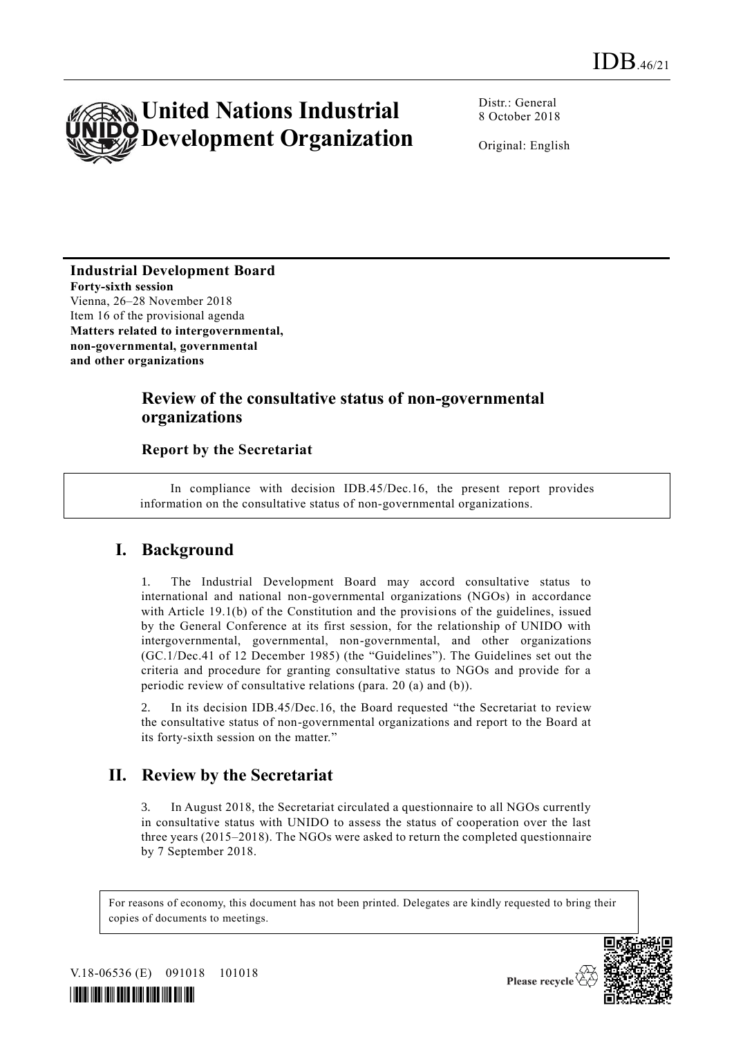

Distr.: General 8 October 2018

Original: English

**Industrial Development Board Forty-sixth session** Vienna, 26–28 November 2018 Item 16 of the provisional agenda **Matters related to intergovernmental, non-governmental, governmental and other organizations**

## **Review of the consultative status of non-governmental organizations**

#### **Report by the Secretariat**

In compliance with decision IDB.45/Dec.16, the present report provides information on the consultative status of non-governmental organizations.

#### **I. Background**

1. The Industrial Development Board may accord consultative status to international and national non-governmental organizations (NGOs) in accordance with Article 19.1(b) of the Constitution and the provisions of the guidelines, issued by the General Conference at its first session, for the relationship of UNIDO with intergovernmental, governmental, non-governmental, and other organizations (GC.1/Dec.41 of 12 December 1985) (the "Guidelines"). The Guidelines set out the criteria and procedure for granting consultative status to NGOs and provide for a periodic review of consultative relations (para. 20 (a) and (b)).

In its decision IDB.45/Dec.16, the Board requested "the Secretariat to review the consultative status of non-governmental organizations and report to the Board at its forty-sixth session on the matter."

### **II. Review by the Secretariat**

3. In August 2018, the Secretariat circulated a questionnaire to all NGOs currently in consultative status with UNIDO to assess the status of cooperation over the last three years (2015–2018). The NGOs were asked to return the completed questionnaire by 7 September 2018.

For reasons of economy, this document has not been printed. Delegates are kindly requested to bring their copies of documents to meetings.



V.18-06536 (E) 091018 101018



Please recycle  $\overline{\langle}$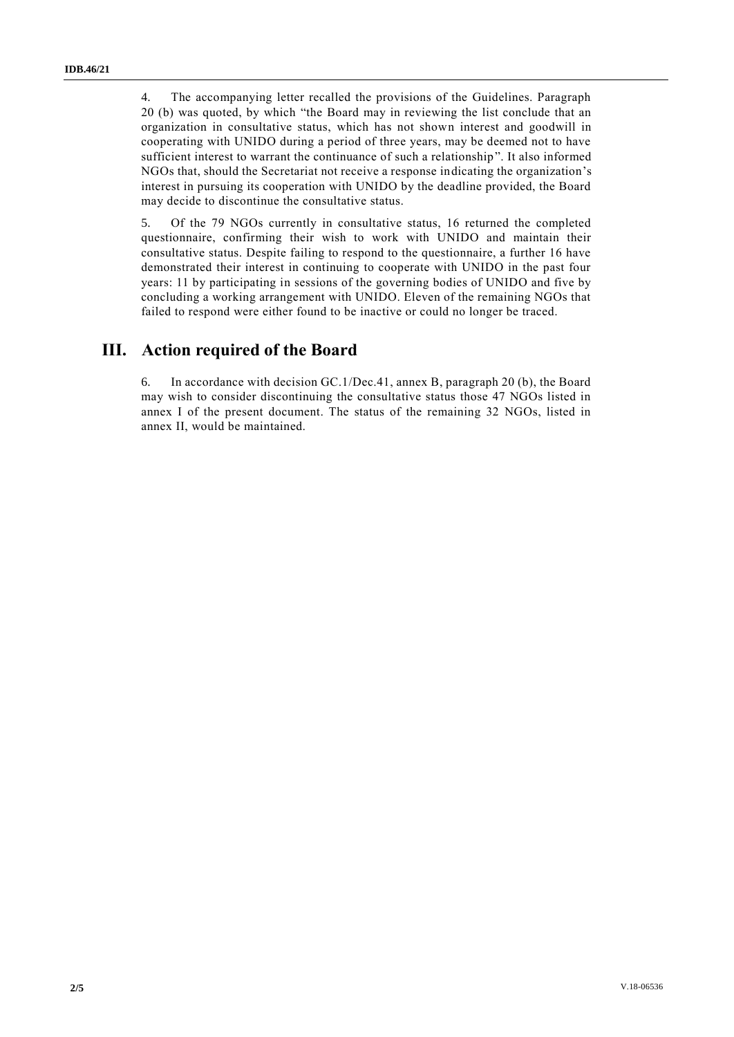4. The accompanying letter recalled the provisions of the Guidelines. Paragraph 20 (b) was quoted, by which "the Board may in reviewing the list conclude that an organization in consultative status, which has not shown interest and goodwill in cooperating with UNIDO during a period of three years, may be deemed not to have sufficient interest to warrant the continuance of such a relationship". It also informed NGOs that, should the Secretariat not receive a response indicating the organization's interest in pursuing its cooperation with UNIDO by the deadline provided, the Board may decide to discontinue the consultative status.

5. Of the 79 NGOs currently in consultative status, 16 returned the completed questionnaire, confirming their wish to work with UNIDO and maintain their consultative status. Despite failing to respond to the questionnaire, a further 16 have demonstrated their interest in continuing to cooperate with UNIDO in the past four years: 11 by participating in sessions of the governing bodies of UNIDO and five by concluding a working arrangement with UNIDO. Eleven of the remaining NGOs that failed to respond were either found to be inactive or could no longer be traced.

#### **III. Action required of the Board**

6. In accordance with decision GC.1/Dec.41, annex B, paragraph 20 (b), the Board may wish to consider discontinuing the consultative status those 47 NGOs listed in annex I of the present document. The status of the remaining 32 NGOs, listed in annex II, would be maintained.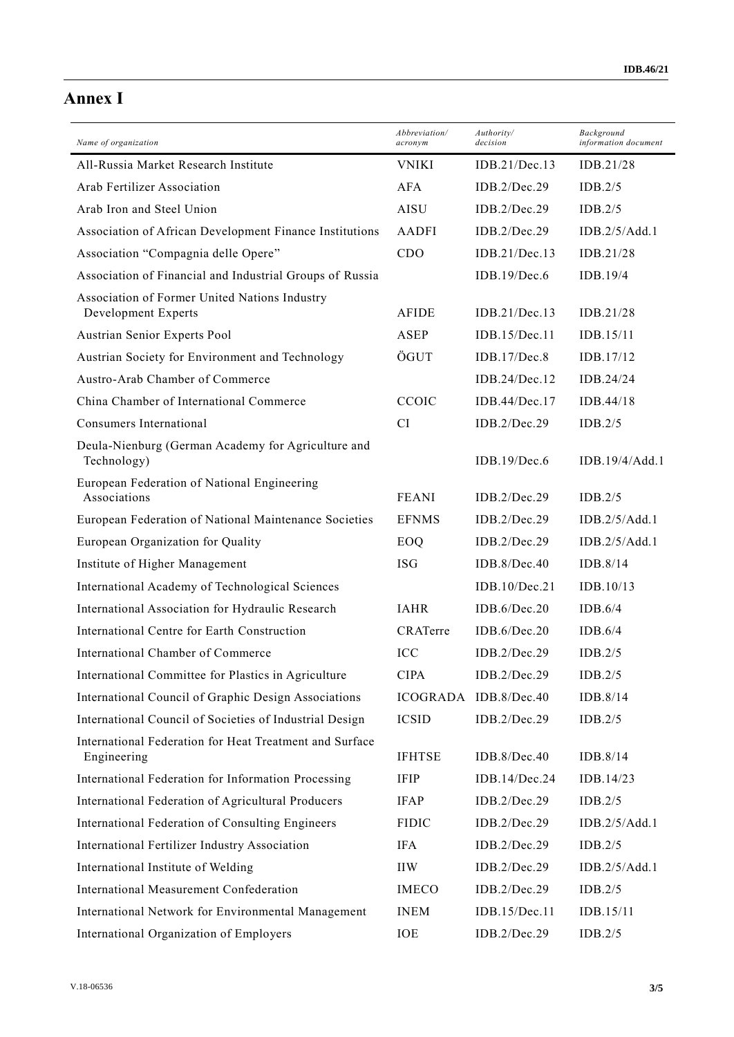# **Annex I**

| Name of organization                                                   | Abbreviation/<br>acronym | Authority/<br>decision | Background<br>information document |
|------------------------------------------------------------------------|--------------------------|------------------------|------------------------------------|
| All-Russia Market Research Institute                                   | <b>VNIKI</b>             | IDB.21/Dec.13          | IDB.21/28                          |
| Arab Fertilizer Association                                            | AFA                      | IDB.2/Dec.29           | IDB.2/5                            |
| Arab Iron and Steel Union                                              | <b>AISU</b>              | IDB.2/Dec.29           | IDB.2/5                            |
| Association of African Development Finance Institutions                | <b>AADFI</b>             | IDB.2/Dec.29           | IDB.2/5/Add.1                      |
| Association "Compagnia delle Opere"                                    | CDO                      | IDB.21/Dec.13          | IDB.21/28                          |
| Association of Financial and Industrial Groups of Russia               |                          | IDB.19/Dec.6           | IDB.19/4                           |
| Association of Former United Nations Industry<br>Development Experts   | <b>AFIDE</b>             | IDB.21/Dec.13          | IDB.21/28                          |
| Austrian Senior Experts Pool                                           | ASEP                     | IDB.15/Dec.11          | IDB.15/11                          |
| Austrian Society for Environment and Technology                        | ÖGUT                     | IDB.17/Dec.8           | IDB.17/12                          |
| Austro-Arab Chamber of Commerce                                        |                          | IDB.24/Dec.12          | IDB.24/24                          |
| China Chamber of International Commerce                                | CCOIC                    | IDB.44/Dec.17          | IDB.44/18                          |
| Consumers International                                                | <b>CI</b>                | IDB.2/Dec.29           | IDB.2/5                            |
| Deula-Nienburg (German Academy for Agriculture and<br>Technology)      |                          | IDB.19/Dec.6           | IDB.19/4/Add.1                     |
| European Federation of National Engineering<br>Associations            | <b>FEANI</b>             | IDB.2/Dec.29           | IDB.2/5                            |
| European Federation of National Maintenance Societies                  | <b>EFNMS</b>             | IDB.2/Dec.29           | IDB.2/5/Add.1                      |
| European Organization for Quality                                      | EOQ                      | IDB.2/Dec.29           | IDB.2/5/Add.1                      |
| Institute of Higher Management                                         | <b>ISG</b>               | IDB.8/Dec.40           | IDB.8/14                           |
| International Academy of Technological Sciences                        |                          | IDB.10/Dec.21          | IDB.10/13                          |
| International Association for Hydraulic Research                       | <b>IAHR</b>              | IDB.6/Dec.20           | IDB.6/4                            |
| International Centre for Earth Construction                            | CRATerre                 | IDB.6/Dec.20           | IDB.6/4                            |
| International Chamber of Commerce                                      | ICC                      | IDB.2/Dec.29           | IDB.2/5                            |
| International Committee for Plastics in Agriculture                    | <b>CIPA</b>              | IDB.2/Dec.29           | IDB.2/5                            |
| International Council of Graphic Design Associations                   | ICOGRADA                 | IDB.8/Dec.40           | IDB.8/14                           |
| International Council of Societies of Industrial Design                | <b>ICSID</b>             | IDB.2/Dec.29           | IDB.2/5                            |
| International Federation for Heat Treatment and Surface<br>Engineering | <b>IFHTSE</b>            | IDB.8/Dec.40           | IDB.8/14                           |
| International Federation for Information Processing                    | <b>IFIP</b>              | IDB.14/Dec.24          | IDB.14/23                          |
| International Federation of Agricultural Producers                     | <b>IFAP</b>              | IDB.2/Dec.29           | IDB.2/5                            |
| International Federation of Consulting Engineers                       | <b>FIDIC</b>             | IDB.2/Dec.29           | IDB.2/5/Add.1                      |
| International Fertilizer Industry Association                          | <b>IFA</b>               | IDB.2/Dec.29           | IDB.2/5                            |
| International Institute of Welding                                     | <b>IIW</b>               | IDB.2/Dec.29           | IDB.2/5/Add.1                      |
| International Measurement Confederation                                | <b>IMECO</b>             | IDB.2/Dec.29           | IDB.2/5                            |
| International Network for Environmental Management                     | <b>INEM</b>              | IDB.15/Dec.11          | IDB.15/11                          |
| International Organization of Employers                                | IOE                      | IDB.2/Dec.29           | IDB.2/5                            |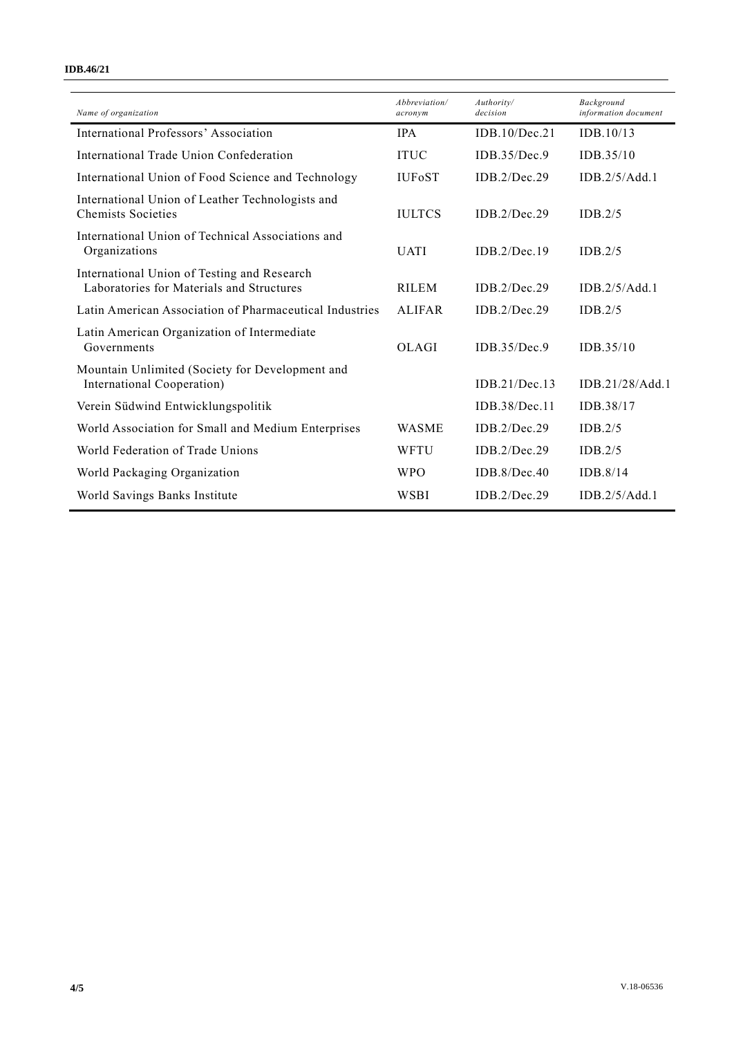#### **IDB.46/21**

| Abbreviation/<br>acronym | Authority/<br>decision | Background<br>information document |
|--------------------------|------------------------|------------------------------------|
| <b>IPA</b>               | IDB.10/Dec.21          | IDB.10/13                          |
| <b>ITUC</b>              | IDB.35/Dec.9           | IDB.35/10                          |
| <b>IUFOST</b>            | IDB.2/Dec.29           | IDB.2/5/Add.1                      |
| <b>IULTCS</b>            | IDB.2/Dec.29           | IDB.2/5                            |
| <b>UATI</b>              | IDB.2/Dec.19           | IDB.2/5                            |
| <b>RILEM</b>             | IDB.2/Dec.29           | IDB.2/5/Add.1                      |
| <b>ALIFAR</b>            | IDB.2/Dec.29           | IDB.2/5                            |
| OLAGI                    | IDB.35/Dec.9           | IDB.35/10                          |
|                          | IDB.21/Dec.13          | IDB.21/28/Add.1                    |
|                          | IDB.38/Dec.11          | IDB.38/17                          |
| <b>WASME</b>             | IDB.2/Dec.29           | IDB.2/5                            |
| WFTU                     | IDB.2/Dec.29           | IDB.2/5                            |
| <b>WPO</b>               | IDB.8/Dec.40           | IDB.8/14                           |
| WSBI                     | IDB.2/Dec.29           | IDB.2/5/Add.1                      |
|                          |                        |                                    |